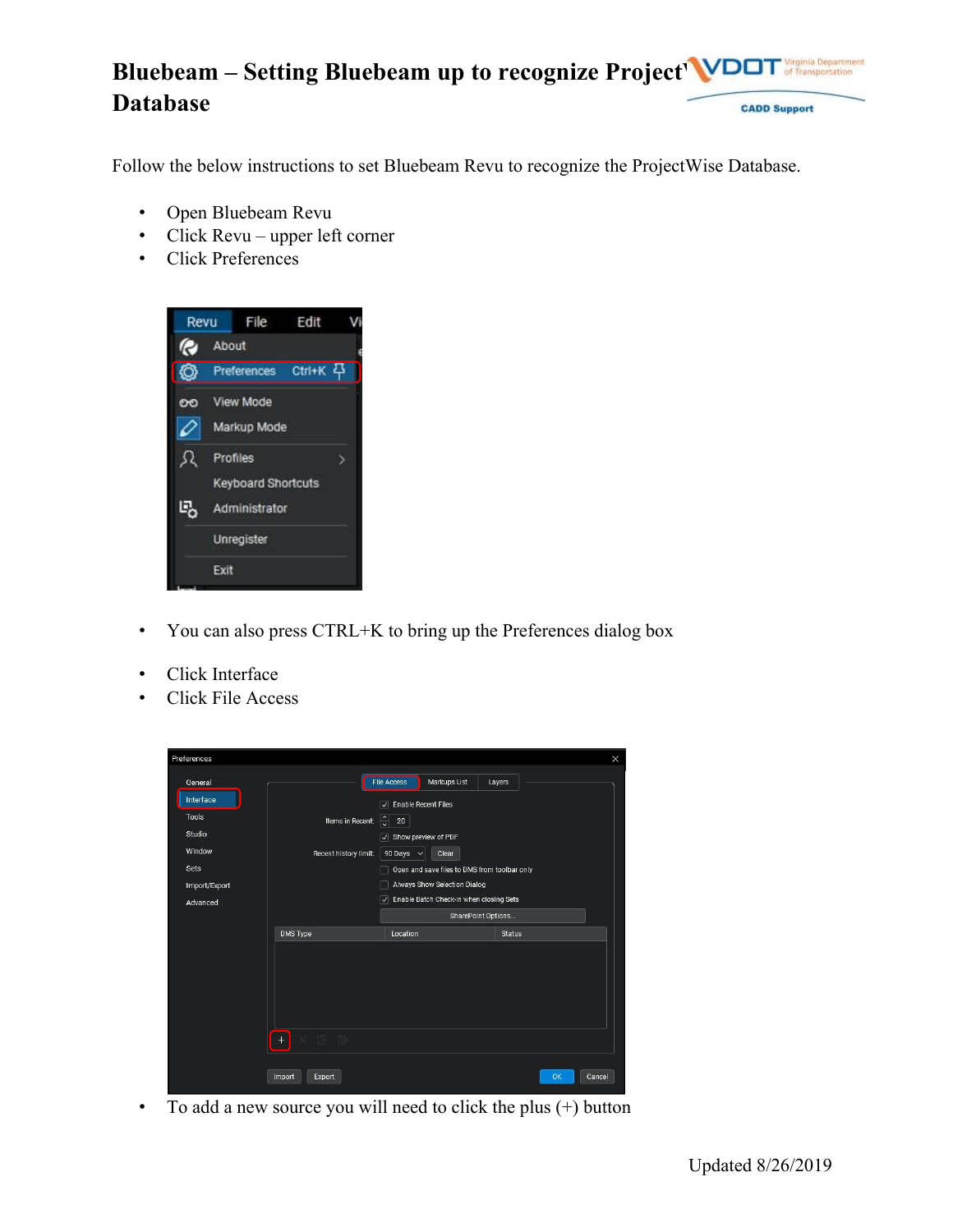#### **Bluebeam – Setting Bluebeam up to recognize Project WDDT** Virginia Department<br>of Transportation **Database CADD Support**

Follow the below instructions to set Bluebeam Revu to recognize the ProjectWise Database.

- Open Bluebeam Revu
- Click Revu upper left corner
- Click Preferences



- You can also press CTRL+K to bring up the Preferences dialog box
- Click Interface
- Click File Access



• To add a new source you will need to click the plus (+) button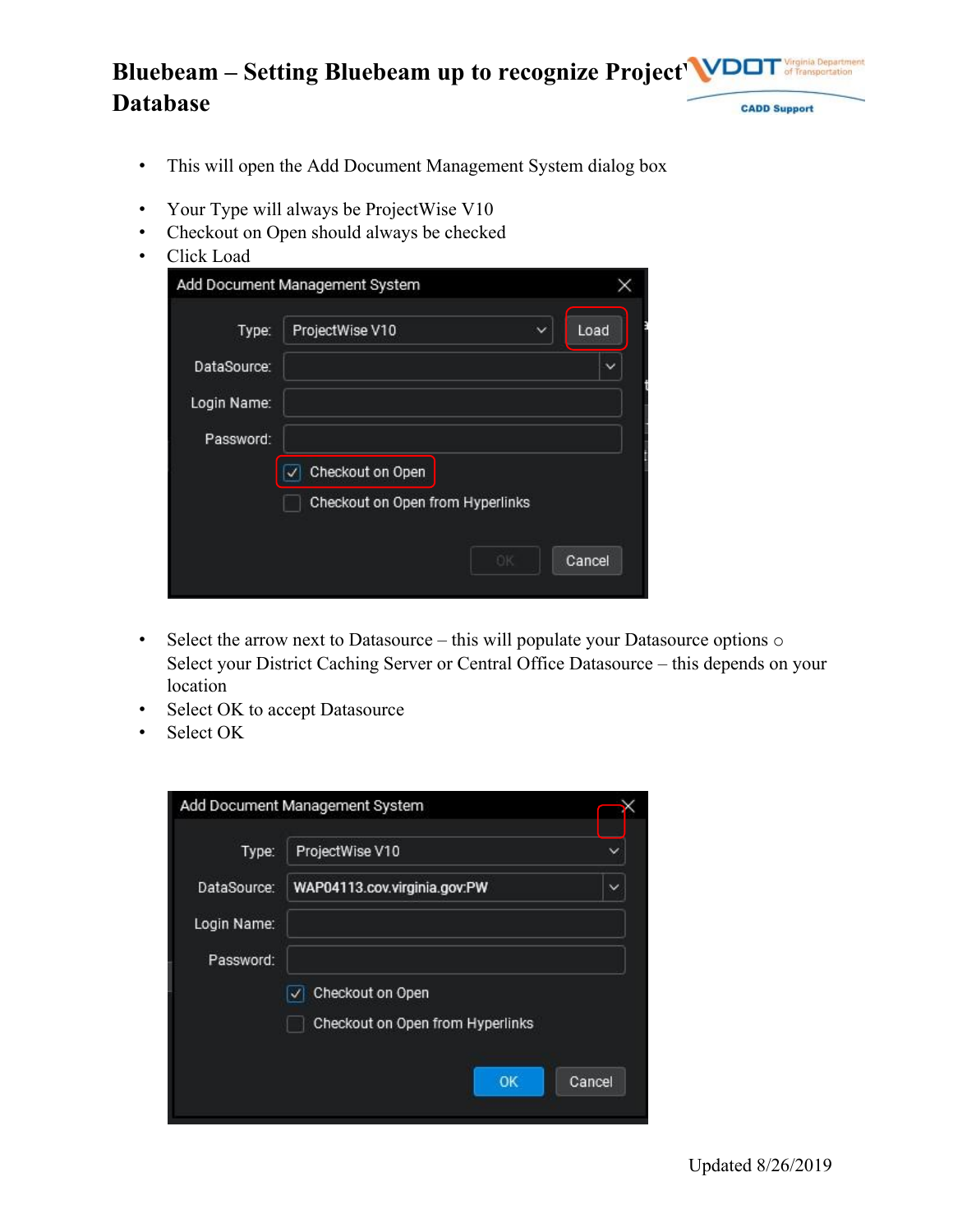### **Bluebeam – Setting Bluebeam up to recognize Project WD** Virginia Department<br>of Transportation **Database CADD Support**

- This will open the Add Document Management System dialog box
- Your Type will always be ProjectWise V10
- Checkout on Open should always be checked
- Click Load

| Type:       | ProjectWise V10                  | $\check{ }$ | Load   |
|-------------|----------------------------------|-------------|--------|
| DataSource: |                                  |             |        |
| Login Name: |                                  |             |        |
| Password:   |                                  |             |        |
|             | Checkout on Open                 |             |        |
|             | Checkout on Open from Hyperlinks |             |        |
|             |                                  |             |        |
|             | ЮK                               |             | Cancel |

- Select the arrow next to Datasource this will populate your Datasource options  $\circ$ Select your District Caching Server or Central Office Datasource – this depends on your location
- Select OK to accept Datasource
- Select OK

| Type:       | ProjectWise V10                              |
|-------------|----------------------------------------------|
| DataSource: | WAP04113.cov.virginia.gov.PW<br>$\checkmark$ |
| Login Name: |                                              |
| Password:   |                                              |
|             | Checkout on Open                             |
|             | Checkout on Open from Hyperlinks             |
|             |                                              |
|             | OK<br>Cancel                                 |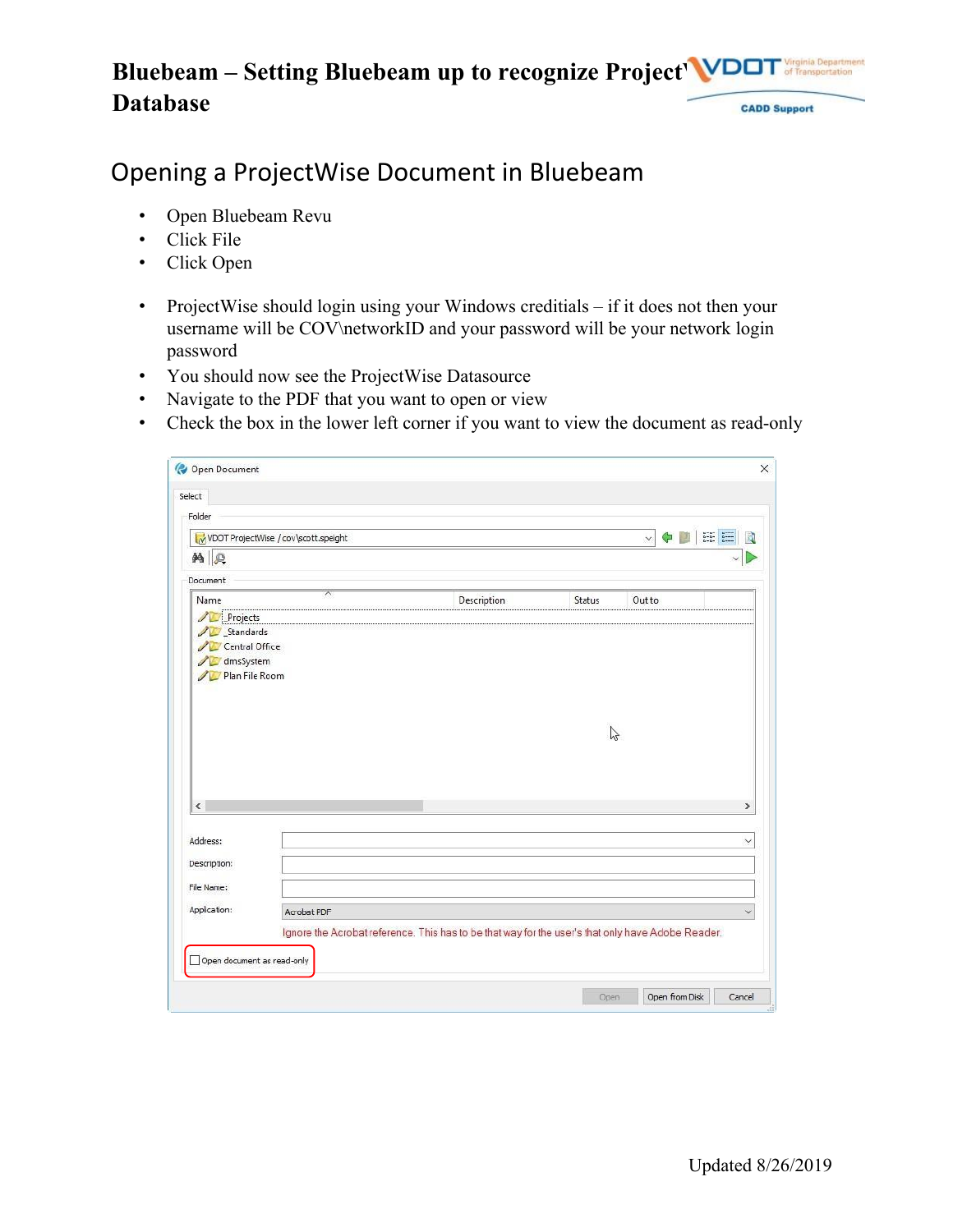## **Bluebeam – Setting Bluebeam up to recognize Project WDOT Database CADD Support**

# Opening a ProjectWise Document in Bluebeam

- Open Bluebeam Revu
- Click File
- Click Open
- ProjectWise should login using your Windows creditials if it does not then your username will be COV\networkID and your password will be your network login password
- You should now see the ProjectWise Datasource
- Navigate to the PDF that you want to open or view
- Check the box in the lower left corner if you want to view the document as read-only

|                                        | VDOT ProjectWise / cov\scott.speight |                                                                                                   |              | $\checkmark$<br>¢ | $\begin{tabular}{ c c c } \hline $a=a$ & $a=a$ \\ \hline $a=a$ & $a=a$ \\ \hline $a=a$ & $a=a$ \\ \hline $a=a$ & $a=a$ \\ \hline \end{tabular}$ |
|----------------------------------------|--------------------------------------|---------------------------------------------------------------------------------------------------|--------------|-------------------|-------------------------------------------------------------------------------------------------------------------------------------------------|
| <b>纳</b>                               |                                      |                                                                                                   |              |                   |                                                                                                                                                 |
| Document                               |                                      |                                                                                                   |              |                   |                                                                                                                                                 |
| Name                                   | $\overline{\pi}$                     | Description                                                                                       | Status       | Out to            |                                                                                                                                                 |
| <b>D</b> dmsSystem<br>Plan File Room   |                                      |                                                                                                   |              |                   |                                                                                                                                                 |
| $\overline{\phantom{a}}$               |                                      |                                                                                                   | $\mathbb{Z}$ |                   | $\rightarrow$                                                                                                                                   |
|                                        |                                      |                                                                                                   |              |                   |                                                                                                                                                 |
| Address:<br>Description:<br>File Name: |                                      |                                                                                                   |              |                   |                                                                                                                                                 |
| Application:                           | Acrobat PDF                          | Ignore the Acrobat reference. This has to be that way for the user's that only have Adobe Reader. |              |                   |                                                                                                                                                 |